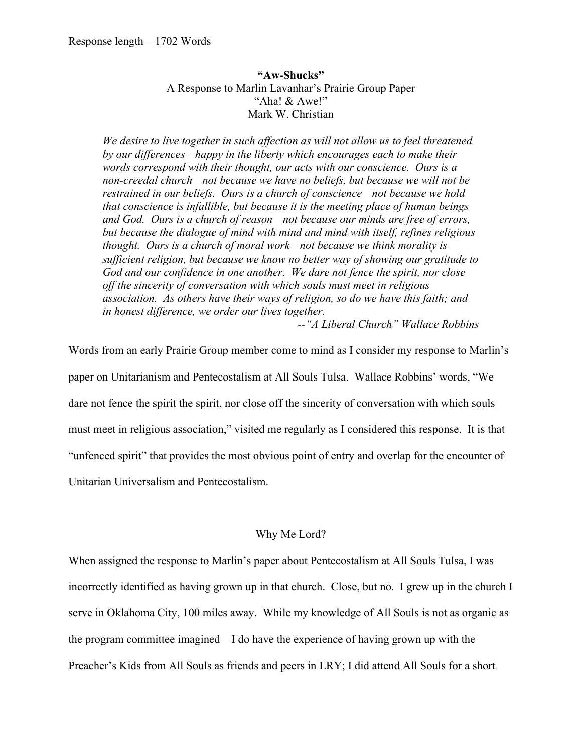**"Aw-Shucks"** A Response to Marlin Lavanhar's Prairie Group Paper "Aha! & Awe!" Mark W. Christian

*We desire to live together in such affection as will not allow us to feel threatened by our differences—happy in the liberty which encourages each to make their words correspond with their thought, our acts with our conscience. Ours is a non-creedal church—not because we have no beliefs, but because we will not be restrained in our beliefs. Ours is a church of conscience—not because we hold that conscience is infallible, but because it is the meeting place of human beings and God. Ours is a church of reason—not because our minds are free of errors, but because the dialogue of mind with mind and mind with itself, refines religious thought. Ours is a church of moral work—not because we think morality is sufficient religion, but because we know no better way of showing our gratitude to God and our confidence in one another. We dare not fence the spirit, nor close off the sincerity of conversation with which souls must meet in religious association. As others have their ways of religion, so do we have this faith; and in honest difference, we order our lives together.* 

*--"A Liberal Church" Wallace Robbins*

Words from an early Prairie Group member come to mind as I consider my response to Marlin's paper on Unitarianism and Pentecostalism at All Souls Tulsa. Wallace Robbins' words, "We dare not fence the spirit the spirit, nor close off the sincerity of conversation with which souls must meet in religious association," visited me regularly as I considered this response. It is that "unfenced spirit" that provides the most obvious point of entry and overlap for the encounter of Unitarian Universalism and Pentecostalism.

## Why Me Lord?

When assigned the response to Marlin's paper about Pentecostalism at All Souls Tulsa, I was incorrectly identified as having grown up in that church. Close, but no. I grew up in the church I serve in Oklahoma City, 100 miles away. While my knowledge of All Souls is not as organic as the program committee imagined—I do have the experience of having grown up with the Preacher's Kids from All Souls as friends and peers in LRY; I did attend All Souls for a short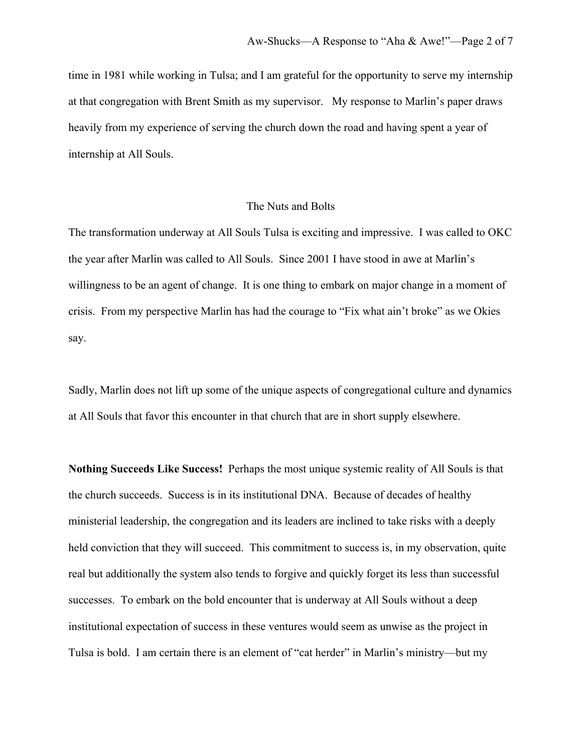time in 1981 while working in Tulsa; and I am grateful for the opportunity to serve my internship at that congregation with Brent Smith as my supervisor. My response to Marlin's paper draws heavily from my experience of serving the church down the road and having spent a year of internship at All Souls.

## The Nuts and Bolts

The transformation underway at All Souls Tulsa is exciting and impressive. I was called to OKC the year after Marlin was called to All Souls. Since 2001 I have stood in awe at Marlin's willingness to be an agent of change. It is one thing to embark on major change in a moment of crisis. From my perspective Marlin has had the courage to "Fix what ain't broke" as we Okies say.

Sadly, Marlin does not lift up some of the unique aspects of congregational culture and dynamics at All Souls that favor this encounter in that church that are in short supply elsewhere.

**Nothing Succeeds Like Success!** Perhaps the most unique systemic reality of All Souls is that the church succeeds. Success is in its institutional DNA. Because of decades of healthy ministerial leadership, the congregation and its leaders are inclined to take risks with a deeply held conviction that they will succeed. This commitment to success is, in my observation, quite real but additionally the system also tends to forgive and quickly forget its less than successful successes. To embark on the bold encounter that is underway at All Souls without a deep institutional expectation of success in these ventures would seem as unwise as the project in Tulsa is bold. I am certain there is an element of "cat herder" in Marlin's ministry—but my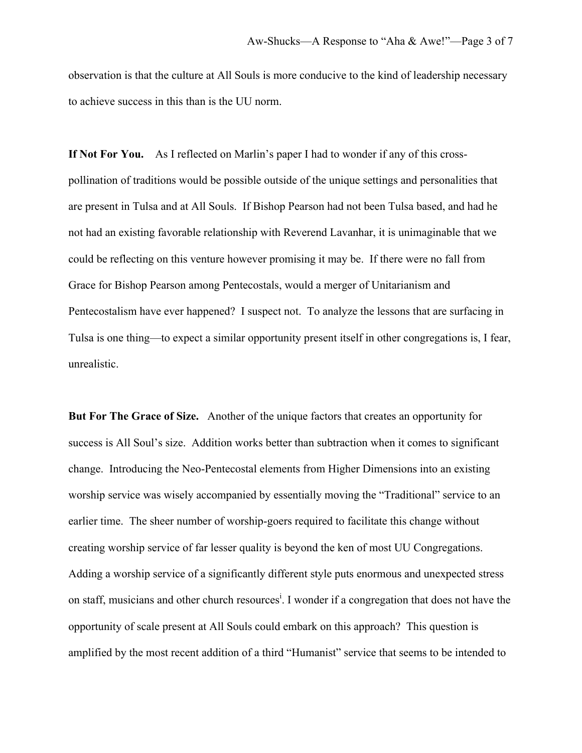observation is that the culture at All Souls is more conducive to the kind of leadership necessary to achieve success in this than is the UU norm.

**If Not For You.** As I reflected on Marlin's paper I had to wonder if any of this crosspollination of traditions would be possible outside of the unique settings and personalities that are present in Tulsa and at All Souls. If Bishop Pearson had not been Tulsa based, and had he not had an existing favorable relationship with Reverend Lavanhar, it is unimaginable that we could be reflecting on this venture however promising it may be. If there were no fall from Grace for Bishop Pearson among Pentecostals, would a merger of Unitarianism and Pentecostalism have ever happened? I suspect not. To analyze the lessons that are surfacing in Tulsa is one thing—to expect a similar opportunity present itself in other congregations is, I fear, unrealistic.

**But For The Grace of Size.** Another of the unique factors that creates an opportunity for success is All Soul's size. Addition works better than subtraction when it comes to significant change. Introducing the Neo-Pentecostal elements from Higher Dimensions into an existing worship service was wisely accompanied by essentially moving the "Traditional" service to an earlier time. The sheer number of worship-goers required to facilitate this change without creating worship service of far lesser quality is beyond the ken of most UU Congregations. Adding a worship service of a significantly different style puts enormous and unexpected stress on staff, musicians and other church resources<sup>i</sup>. I wonder if a congregation that does not have the opportunity of scale present at All Souls could embark on this approach? This question is amplified by the most recent addition of a third "Humanist" service that seems to be intended to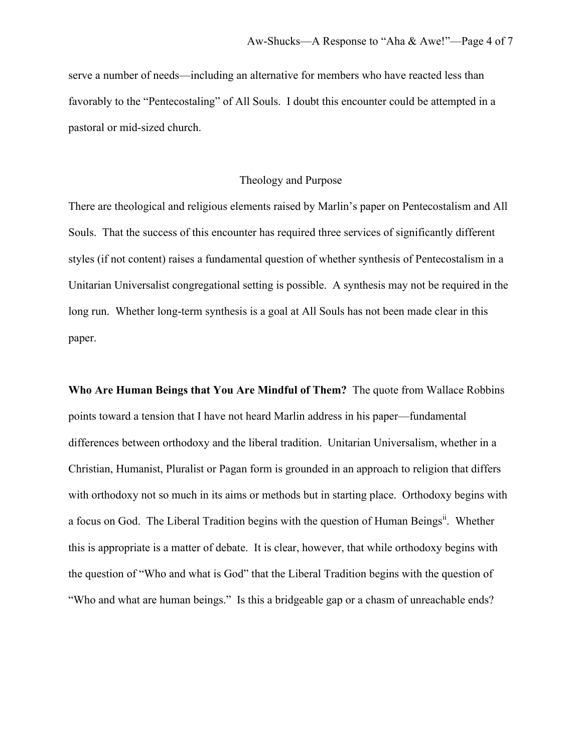serve a number of needs—including an alternative for members who have reacted less than favorably to the "Pentecostaling" of All Souls. I doubt this encounter could be attempted in a pastoral or mid-sized church.

## Theology and Purpose

There are theological and religious elements raised by Marlin's paper on Pentecostalism and All Souls. That the success of this encounter has required three services of significantly different styles (if not content) raises a fundamental question of whether synthesis of Pentecostalism in a Unitarian Universalist congregational setting is possible. A synthesis may not be required in the long run. Whether long-term synthesis is a goal at All Souls has not been made clear in this paper.

**Who Are Human Beings that You Are Mindful of Them?** The quote from Wallace Robbins points toward a tension that I have not heard Marlin address in his paper—fundamental differences between orthodoxy and the liberal tradition. Unitarian Universalism, whether in a Christian, Humanist, Pluralist or Pagan form is grounded in an approach to religion that differs with orthodoxy not so much in its aims or methods but in starting place. Orthodoxy begins with a focus on God. The Liberal Tradition begins with the question of Human Beings<sup>ii</sup>. Whether this is appropriate is a matter of debate. It is clear, however, that while orthodoxy begins with the question of "Who and what is God" that the Liberal Tradition begins with the question of "Who and what are human beings." Is this a bridgeable gap or a chasm of unreachable ends?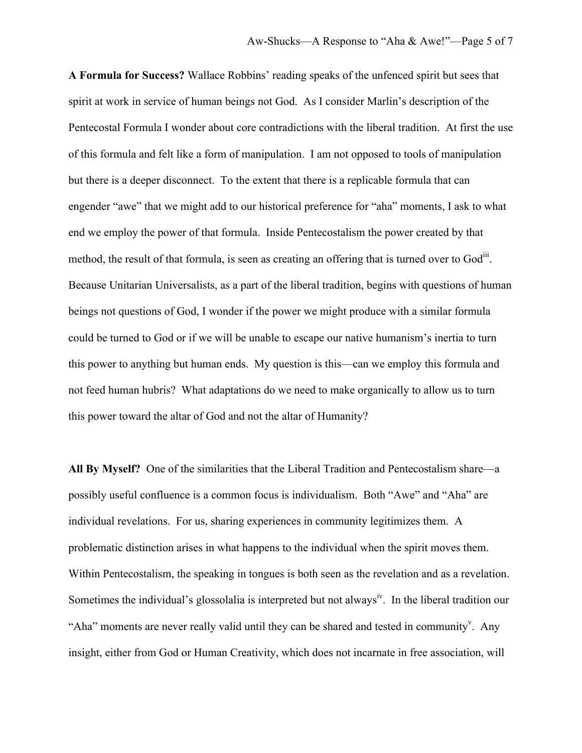**A Formula for Success?** Wallace Robbins' reading speaks of the unfenced spirit but sees that spirit at work in service of human beings not God. As I consider Marlin's description of the Pentecostal Formula I wonder about core contradictions with the liberal tradition. At first the use of this formula and felt like a form of manipulation. I am not opposed to tools of manipulation but there is a deeper disconnect. To the extent that there is a replicable formula that can engender "awe" that we might add to our historical preference for "aha" moments, I ask to what end we employ the power of that formula. Inside Pentecostalism the power created by that method, the result of that formula, is seen as creating an offering that is turned over to God<sup>iii</sup>. Because Unitarian Universalists, as a part of the liberal tradition, begins with questions of human beings not questions of God, I wonder if the power we might produce with a similar formula could be turned to God or if we will be unable to escape our native humanism's inertia to turn this power to anything but human ends. My question is this—can we employ this formula and not feed human hubris? What adaptations do we need to make organically to allow us to turn this power toward the altar of God and not the altar of Humanity?

**All By Myself?** One of the similarities that the Liberal Tradition and Pentecostalism share—a possibly useful confluence is a common focus is individualism. Both "Awe" and "Aha" are individual revelations. For us, sharing experiences in community legitimizes them. A problematic distinction arises in what happens to the individual when the spirit moves them. Within Pentecostalism, the speaking in tongues is both seen as the revelation and as a revelation. Sometimes the individual's glossolalia is interpreted but not always<sup>iv</sup>. In the liberal tradition our "Aha" moments are never really valid until they can be shared and tested in community". Any insight, either from God or Human Creativity, which does not incarnate in free association, will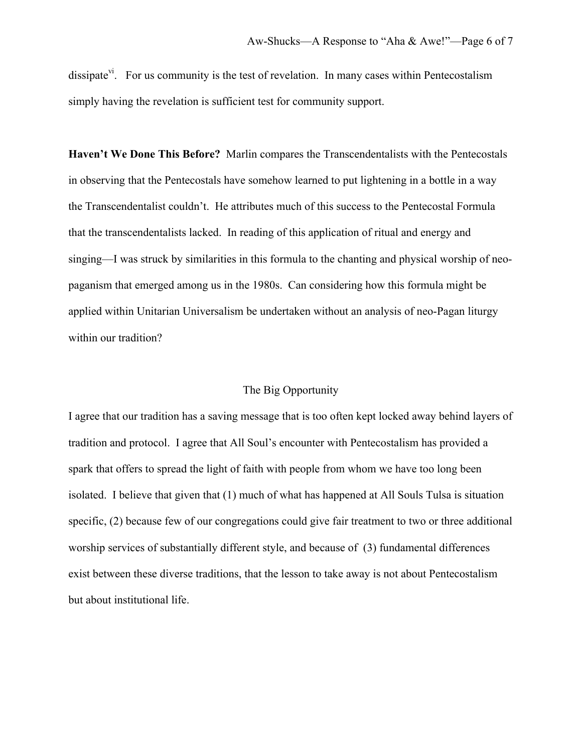dissipate<sup>vi</sup>. For us community is the test of revelation. In many cases within Pentecostalism simply having the revelation is sufficient test for community support.

**Haven't We Done This Before?** Marlin compares the Transcendentalists with the Pentecostals in observing that the Pentecostals have somehow learned to put lightening in a bottle in a way the Transcendentalist couldn't. He attributes much of this success to the Pentecostal Formula that the transcendentalists lacked. In reading of this application of ritual and energy and singing—I was struck by similarities in this formula to the chanting and physical worship of neopaganism that emerged among us in the 1980s. Can considering how this formula might be applied within Unitarian Universalism be undertaken without an analysis of neo-Pagan liturgy within our tradition?

## The Big Opportunity

I agree that our tradition has a saving message that is too often kept locked away behind layers of tradition and protocol. I agree that All Soul's encounter with Pentecostalism has provided a spark that offers to spread the light of faith with people from whom we have too long been isolated. I believe that given that (1) much of what has happened at All Souls Tulsa is situation specific, (2) because few of our congregations could give fair treatment to two or three additional worship services of substantially different style, and because of (3) fundamental differences exist between these diverse traditions, that the lesson to take away is not about Pentecostalism but about institutional life.